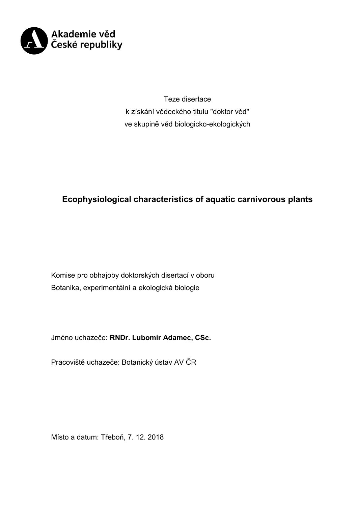

Teze disertace k získání vědeckého titulu "doktor věd" ve skupině věd biologicko-ekologických

# **Ecophysiological characteristics of aquatic carnivorous plants**

Komise pro obhajoby doktorských disertací v oboru Botanika, experimentální a ekologická biologie

Jméno uchazeče: **RNDr. Lubomír Adamec, CSc.**

Pracoviště uchazeče: Botanický ústav AV ČR

Místo a datum: Třeboň, 7. 12. 2018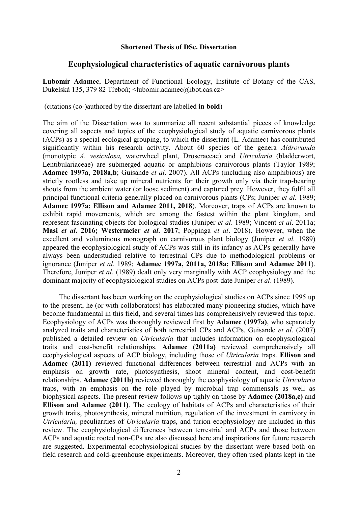#### **Shortened Thesis of DSc. Dissertation**

# **Ecophysiological characteristics of aquatic carnivorous plants**

**Lubomír Adamec**, Department of Functional Ecology, Institute of Botany of the CAS, Dukelská 135, 379 82 Třeboň; <lubomir.adamec@ibot.cas.cz>

(citations (co-)authored by the dissertant are labelled **in bold**)

The aim of the Dissertation was to summarize all recent substantial pieces of knowledge covering all aspects and topics of the ecophysiological study of aquatic carnivorous plants (ACPs) as a special ecological grouping, to which the dissertant (L. Adamec) has contributed significantly within his research activity. About 60 species of the genera *Aldrovanda*  (monotypic *A. vesiculosa,* waterwheel plant, Droseraceae) and *Utricularia* (bladderwort, Lentibulariaceae) are submerged aquatic or amphibious carnivorous plants (Taylor 1989; **Adamec 1997a, 2018a,b**; Guisande *et al*. 2007). All ACPs (including also amphibious) are strictly rootless and take up mineral nutrients for their growth only via their trap-bearing shoots from the ambient water (or loose sediment) and captured prey. However, they fulfil all principal functional criteria generally placed on carnivorous plants (CPs; Juniper *et al.* 1989; **Adamec 1997a; Ellison and Adamec 2011, 2018**). Moreover, traps of ACPs are known to exhibit rapid movements, which are among the fastest within the plant kingdom, and represent fascinating objects for biological studies (Juniper *et al*. 1989; Vincent *et al*. 2011a; **Masi** *et al***. 2016; Westermeier** *et al***. 2017**; Poppinga *et al*. 2018). However, when the excellent and voluminous monograph on carnivorous plant biology (Juniper *et al.* 1989) appeared the ecophysiological study of ACPs was still in its infancy as ACPs generally have always been understudied relative to terrestrial CPs due to methodological problems or ignorance (Juniper *et al*. 1989; **Adamec 1997a, 2011a, 2018a; Ellison and Adamec 2011**). Therefore, Juniper *et al.* (1989) dealt only very marginally with ACP ecophysiology and the dominant majority of ecophysiological studies on ACPs post-date Juniper *et al*. (1989).

The dissertant has been working on the ecophysiological studies on ACPs since 1995 up to the present, he (or with collaborators) has elaborated many pioneering studies, which have become fundamental in this field, and several times has comprehensively reviewed this topic. Ecophysiology of ACPs was thoroughly reviewed first by **Adamec (1997a)**, who separately analyzed traits and characteristics of both terrestrial CPs and ACPs. Guisande *et al*. (2007) published a detailed review on *Utricularia* that includes information on ecophysiological traits and cost-benefit relationships. **Adamec (2011a)** reviewed comprehensively all ecophysiological aspects of ACP biology, including those of *Utricularia* traps. **Ellison and Adamec (2011)** reviewed functional differences between terrestrial and ACPs with an emphasis on growth rate, photosynthesis, shoot mineral content, and cost-benefit relationships. **Adamec (2011b)** reviewed thoroughly the ecophysiology of aquatic *Utricularia* traps, with an emphasis on the role played by microbial trap commensals as well as biophysical aspects. The present review follows up tighly on those by **Adamec (2018a,c)** and **Ellison and Adamec (2011)**. The ecology of habitats of ACPs and characteristics of their growth traits, photosynthesis, mineral nutrition, regulation of the investment in carnivory in *Utricularia,* peculiarities of *Utricularia* traps, and turion ecophysiology are included in this review. The ecophysiological differences between terrestrial and ACPs and those between ACPs and aquatic rooted non-CPs are also discussed here and inspirations for future research are suggested. Experimental ecophysiological studies by the dissertant were based both on field research and cold-greenhouse experiments. Moreover, they often used plants kept in the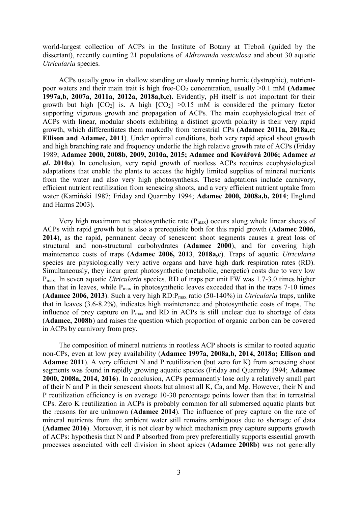world-largest collection of ACPs in the Institute of Botany at Třeboň (guided by the dissertant), recently counting 21 populations of *Aldrovanda vesiculosa* and about 30 aquatic *Utricularia* species.

ACPs usually grow in shallow standing or slowly running humic (dystrophic), nutrientpoor waters and their main trait is high free-CO<sub>2</sub> concentration, usually >0.1 mM **(Adamec 1997a,b, 2007a, 2011a, 2012a, 2018a,b,c).** Evidently, pH itself is not important for their growth but high  $[CO_2]$  is. A high  $[CO_2] > 0.15$  mM is considered the primary factor supporting vigorous growth and propagation of ACPs. The main ecophysiological trait of ACPs with linear, modular shoots exhibiting a distinct growth polarity is their very rapid growth, which differentiates them markedly from terrestrial CPs (**Adamec 2011a, 2018a,c; Ellison and Adamec, 2011**). Under optimal conditions, both very rapid apical shoot growth and high branching rate and frequency underlie the high relative growth rate of ACPs (Friday 1989; **Adamec 2000, 2008b, 2009, 2010a, 2015; Adamec and Kovářová 2006; Adamec** *et al***. 2010a**). In conclusion, very rapid growth of rootless ACPs requires ecophysiological adaptations that enable the plants to access the highly limited supplies of mineral nutrients from the water and also very high photosynthesis. These adaptations include carnivory, efficient nutrient reutilization from senescing shoots, and a very efficient nutrient uptake from water (Kamiński 1987; Friday and Quarmby 1994; **Adamec 2000, 2008a,b, 2014**; Englund and Harms 2003).

Very high maximum net photosynthetic rate  $(P_{max})$  occurs along whole linear shoots of ACPs with rapid growth but is also a prerequisite both for this rapid growth (**Adamec 2006, 2014**), as the rapid, permanent decay of senescent shoot segments causes a great loss of structural and non-structural carbohydrates (**Adamec 2000**), and for covering high maintenance costs of traps (**Adamec 2006, 2013**, **2018a,c**). Traps of aquatic *Utricularia*  species are physiologically very active organs and have high dark respiration rates (RD). Simultaneously, they incur great photosynthetic (metabolic, energetic) costs due to very low Pmax. In seven aquatic *Utricularia* species, RD of traps per unit FW was 1.7-3.0 times higher than that in leaves, while  $P_{max}$  in photosynthetic leaves exceeded that in the traps 7-10 times (**Adamec 2006, 2013**). Such a very high RD:Pmax ratio (50-140%) in *Utricularia* traps, unlike that in leaves (3.6-8.2%), indicates high maintenance and photosynthetic costs of traps. The influence of prey capture on  $P_{\text{max}}$  and RD in ACPs is still unclear due to shortage of data (**Adamec, 2008b**) and raises the question which proportion of organic carbon can be covered in ACPs by carnivory from prey.

The composition of mineral nutrients in rootless ACP shoots is similar to rooted aquatic non-CPs, even at low prey availability (**Adamec 1997a, 2008a,b, 2014, 2018a; Ellison and**  Adamec 2011). A very efficient N and P reutilization (but zero for K) from senescing shoot segments was found in rapidly growing aquatic species (Friday and Quarmby 1994; **Adamec 2000, 2008a, 2014, 2016**). In conclusion, ACPs permanently lose only a relatively small part of their N and P in their senescent shoots but almost all K, Ca, and Mg. However, their N and P reutilization efficiency is on average 10-30 percentage points lower than that in terrestrial CPs. Zero K reutilization in ACPs is probably common for all submersed aquatic plants but the reasons for are unknown (**Adamec 2014**). The influence of prey capture on the rate of mineral nutrients from the ambient water still remains ambiguous due to shortage of data (**Adamec 2016**). Moreover, it is not clear by which mechanism prey capture supports growth of ACPs: hypothesis that N and P absorbed from prey preferentially supports essential growth processes associated with cell division in shoot apices (**Adamec 2008b**) was not generally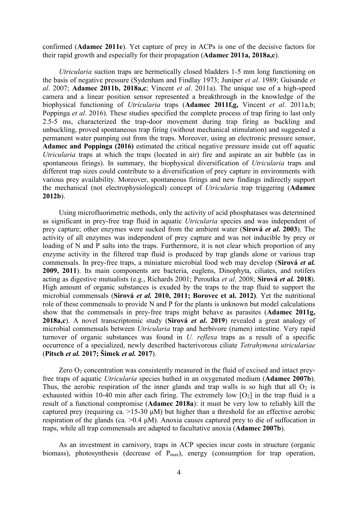confirmed (**Adamec 2011e**). Yet capture of prey in ACPs is one of the decisive factors for their rapid growth and especially for their propagation (**Adamec 2011a, 2018a,c**).

*Utricularia* suction traps are hermetically closed bladders 1-5 mm long functioning on the basis of negative pressure (Sydenham and Findlay 1973; Juniper *et al*. 1989; Guisande *et al*. 2007; **Adamec 2011b, 2018a,c**; Vincent *et al*. 2011a). The unique use of a high-speed camera and a linear position sensor represented a breakthrough in the knowledge of the biophysical functioning of *Utricularia* traps (**Adamec 2011f,g,** Vincent *et al*. 2011a,b; Poppinga *et al*. 2016). These studies specified the complete process of trap firing to last only 2.5-5 ms, characterized the trap-door movement during trap firing as buckling and unbuckling, proved spontaneous trap firing (without mechanical stimulation) and suggested a permanent water pumping out from the traps. Moreover, using an electronic pressure sensor, **Adamec and Poppinga (2016)** estimated the critical negative pressure inside cut off aquatic *Utricularia* traps at which the traps (located in air) fire and aspirate an air bubble (as in spontaneous firings). In summary, the biophysical diversification of *Utricularia* traps and different trap sizes could contribute to a diversification of prey capture in environments with various prey availability. Moreover, spontaneous firings and new findings indirectly support the mechanical (not electrophysiological) concept of *Utricularia* trap triggering (**Adamec 2012b**).

Using microfluorimetric methods, only the activity of acid phosphatases was determined as significant in prey-free trap fluid in aquatic *Utricularia* species and was independent of prey capture; other enzymes were sucked from the ambient water (**Sirová** *et al***. 2003**). The activity of all enzymes was independent of prey capture and was not inducible by prey or loading of N and P salts into the traps. Furthermore, it is not clear which proportion of any enzyme activity in the filtered trap fluid is produced by trap glands alone or various trap commensals. In prey-free traps, a miniature microbial food web may develop (**Sirová** *et al.* **2009, 2011**). Its main components are bacteria, euglens, Dinophyta, ciliates, and rotifers acting as digestive mutualists (e.g., Richards 2001; Peroutka *et al*. 2008; **Sirová** *et al.* **2018**). High amount of organic substances is exuded by the traps to the trap fluid to support the microbial commensals (**Sirová** *et al.* **2010, 2011; Borovec et al. 2012)**. Yet the nutritional role of these commensals to provide N and P for the plants is unknown but model calculations show that the commensals in prey-free traps might behave as parasites (**Adamec 2011g, 2018a,c**). A novel transcriptomic study (**Sirová** *et al***. 2019**) revealed a great analogy of microbial commensals between *Utricularia* trap and herbivore (rumen) intestine. Very rapid turnover of organic substances was found in *U. reflexa* traps as a result of a specific occurrence of a specialized, newly described bacterivorous ciliate *Tetrahymena utriculariae* (**Pitsch** *et al.* **2017; Šimek** *et al.* **2017**).

Zero  $O<sub>2</sub>$  concentration was consistently measured in the fluid of excised and intact preyfree traps of aquatic *Utricularia* species bathed in an oxygenated medium (**Adamec 2007b**). Thus, the aerobic respiration of the inner glands and trap walls is so high that all  $O<sub>2</sub>$  is exhausted within 10-40 min after each firing. The extremely low  $[O_2]$  in the trap fluid is a result of a functional compromise (**Adamec 2018a**): it must be very low to reliably kill the captured prey (requiring ca. >15-30 μM) but higher than a threshold for an effective aerobic respiration of the glands (ca. >0.4 μM). Anoxia causes captured prey to die of suffocation in traps, while all trap commensals are adapted to facultative anoxia (**Adamec 2007b**).

As an investment in carnivory, traps in ACP species incur costs in structure (organic biomass), photosynthesis (decrease of  $P_{\text{max}}$ ), energy (consumption for trap operation,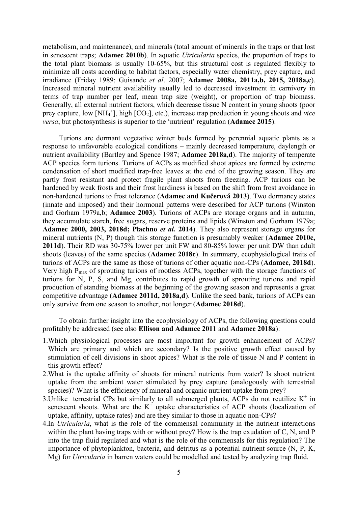metabolism, and maintenance), and minerals (total amount of minerals in the traps or that lost in senescent traps; **Adamec 2010b**). In aquatic *Utricularia* species, the proportion of traps to the total plant biomass is usually 10-65%, but this structural cost is regulated flexibly to minimize all costs according to habitat factors, especially water chemistry, prey capture, and irradiance (Friday 1989; Guisande *et al*. 2007; **Adamec 2008a, 2011a,b, 2015, 2018a,c**). Increased mineral nutrient availability usually led to decreased investment in carnivory in terms of trap number per leaf, mean trap size (weight), or proportion of trap biomass. Generally, all external nutrient factors, which decrease tissue N content in young shoots (poor prey capture, low [NH<sub>4</sub><sup>+</sup>], high [CO<sub>2</sub>], etc.), increase trap production in young shoots and *vice versa*, but photosynthesis is superior to the 'nutrient' regulation (**Adamec 2015**).

Turions are dormant vegetative winter buds formed by perennial aquatic plants as a response to unfavorable ecological conditions – mainly decreased temperature, daylength or nutrient availability (Bartley and Spence 1987; **Adamec 2018a,d**). The majority of temperate ACP species form turions. Turions of ACPs as modified shoot apices are formed by extreme condensation of short modified trap-free leaves at the end of the growing season. They are partly frost resistant and protect fragile plant shoots from freezing. ACP turions can be hardened by weak frosts and their frost hardiness is based on the shift from frost avoidance in non-hardened turions to frost tolerance (**Adamec and Kučerová 2013**). Two dormancy states (innate and imposed) and their hormonal patterns were described for ACP turions (Winston and Gorham 1979a,b; **Adamec 2003**). Turions of ACPs are storage organs and in autumn, they accumulate starch, free sugars, reserve proteins and lipids (Winston and Gorham 1979a; **Adamec 2000, 2003, 2018d; Płachno** *et al.* **2014**). They also represent storage organs for mineral nutrients (N, P) though this storage function is presumably weaker (**Adamec 2010c, 2011d**). Their RD was 30-75% lower per unit FW and 80-85% lower per unit DW than adult shoots (leaves) of the same species (**Adamec 2018c**). In summary, ecophysiological traits of turions of ACPs are the same as those of turions of other aquatic non-CPs (**Adamec, 2018d**). Very high Pmax of sprouting turions of rootless ACPs, together with the storage functions of turions for N, P, S, and Mg, contributes to rapid growth of sprouting turions and rapid production of standing biomass at the beginning of the growing season and represents a great competitive advantage (**Adamec 2011d, 2018a,d**). Unlike the seed bank, turions of ACPs can only survive from one season to another, not longer (**Adamec 2018d**).

To obtain further insight into the ecophysiology of ACPs, the following questions could profitably be addressed (see also **Ellison and Adamec 2011** and **Adamec 2018a**):

- 1.Which physiological processes are most important for growth enhancement of ACPs? Which are primary and which are secondary? Is the positive growth effect caused by stimulation of cell divisions in shoot apices? What is the role of tissue N and P content in this growth effect?
- 2.What is the uptake affinity of shoots for mineral nutrients from water? Is shoot nutrient uptake from the ambient water stimulated by prey capture (analogously with terrestrial species)? What is the efficiency of mineral and organic nutrient uptake from prey?
- 3. Unlike terrestrial CPs but similarly to all submerged plants, ACPs do not reutilize  $K^+$  in senescent shoots. What are the  $K^+$  uptake characteristics of ACP shoots (localization of uptake, affinity, uptake rates) and are they similar to those in aquatic non-CPs?
- 4.In *Utricularia*, what is the role of the commensal community in the nutrient interactions within the plant having traps with or without prey? How is the trap exudation of C, N, and P into the trap fluid regulated and what is the role of the commensals for this regulation? The importance of phytoplankton, bacteria, and detritus as a potential nutrient source (N, P, K, Mg) for *Utricularia* in barren waters could be modelled and tested by analyzing trap fluid.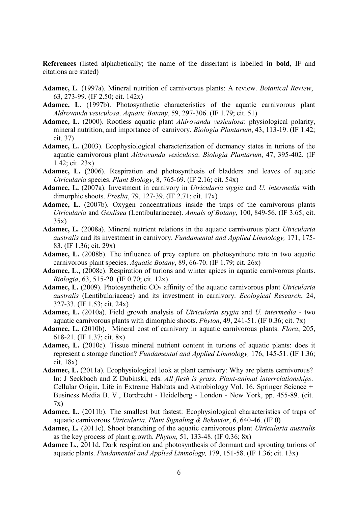**References** (listed alphabetically; the name of the dissertant is labelled **in bold**, IF and citations are stated)

- **Adamec, L**. (1997a). Mineral nutrition of carnivorous plants: A review. *Botanical Review*, 63, 273-99. (IF 2.50; cit. 142x)
- **Adamec, L.** (1997b). Photosynthetic characteristics of the aquatic carnivorous plant *Aldrovanda vesiculosa*. *Aquatic Botany*, 59, 297-306. (IF 1.79; cit. 51)
- **Adamec, L.** (2000). Rootless aquatic plant *Aldrovanda vesiculosa*: physiological polarity, mineral nutrition, and importance of carnivory. *Biologia Plantarum*, 43, 113-19. (IF 1.42; cit. 37)
- **Adamec, L.** (2003). Ecophysiological characterization of dormancy states in turions of the aquatic carnivorous plant *Aldrovanda vesiculosa*. *Biologia Plantarum*, 47, 395-402. (IF 1.42; cit. 23x)
- **Adamec, L.** (2006). Respiration and photosynthesis of bladders and leaves of aquatic *Utricularia* species. *Plant Biology*, 8, 765-69. (IF 2.16; cit. 54x)
- **Adamec, L.** (2007a). Investment in carnivory in *Utricularia stygia* and *U. intermedia* with dimorphic shoots. *Preslia*, 79, 127-39. (IF 2.71; cit. 17x)
- **Adamec, L.** (2007b). Oxygen concentrations inside the traps of the carnivorous plants *Utricularia* and *Genlisea* (Lentibulariaceae). *Annals of Botany*, 100, 849-56. (IF 3.65; cit. 35x)
- **Adamec, L.** (2008a). Mineral nutrient relations in the aquatic carnivorous plant *Utricularia australis* and its investment in carnivory. *Fundamental and Applied Limnology,* 171, 175- 83. (IF 1.36; cit. 29x)
- **Adamec, L.** (2008b). The influence of prey capture on photosynthetic rate in two aquatic carnivorous plant species. *Aquatic Botany*, 89, 66-70. (IF 1.79; cit. 26x)
- **Adamec, L.,** (2008c). Respiration of turions and winter apices in aquatic carnivorous plants. *Biologia*, 63, 515-20. (IF 0.70; cit. 12x)
- Adamec, L. (2009). Photosynthetic CO<sub>2</sub> affinity of the aquatic carnivorous plant *Utricularia australis* (Lentibulariaceae) and its investment in carnivory. *Ecological Research*, 24, 327-33. (IF 1.53; cit. 24x)
- **Adamec, L.** (2010a). Field growth analysis of *Utricularia stygia* and *U. intermedia* two aquatic carnivorous plants with dimorphic shoots. *Phyton*, 49, 241-51. (IF 0.36; cit. 7x)
- **Adamec, L.** (2010b). Mineral cost of carnivory in aquatic carnivorous plants. *Flora*, 205, 618-21. (IF 1.37; cit. 8x)
- Adamec, L. (2010c). Tissue mineral nutrient content in turions of aquatic plants: does it represent a storage function? *Fundamental and Applied Limnology,* 176, 145-51. (IF 1.36; cit. 18x)
- **Adamec, L.** (2011a). Ecophysiological look at plant carnivory: Why are plants carnivorous? In: J Seckbach and Z Dubinski, eds. *All flesh is grass. Plant-animal interrelationships*. Cellular Origin, Life in Extreme Habitats and Astrobiology Vol. 16. Springer Science + Business Media B. V., Dordrecht - Heidelberg - London - New York, pp. 455-89. (cit. 7x)
- Adamec, L. (2011b). The smallest but fastest: Ecophysiological characteristics of traps of aquatic carnivorous *Utricularia*. *Plant Signaling & Behavior*, 6, 640-46. (IF 0)
- **Adamec, L.** (2011c). Shoot branching of the aquatic carnivorous plant *Utricularia australis*  as the key process of plant growth. *Phyton,* 51, 133-48. (IF 0.36; 8x)
- **Adamec L.,** 2011d. Dark respiration and photosynthesis of dormant and sprouting turions of aquatic plants. *Fundamental and Applied Limnology,* 179, 151-58. (IF 1.36; cit. 13x)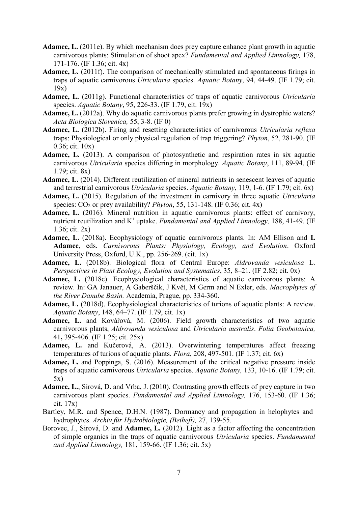- **Adamec, L.** (2011e). By which mechanism does prey capture enhance plant growth in aquatic carnivorous plants: Stimulation of shoot apex? *Fundamental and Applied Limnology,* 178, 171-176. (IF 1.36; cit. 4x)
- **Adamec, L.** (2011f). The comparison of mechanically stimulated and spontaneous firings in traps of aquatic carnivorous *Utricularia* species. *Aquatic Botany*, 94, 44-49. (IF 1.79; cit. 19x)
- **Adamec, L.** (2011g). Functional characteristics of traps of aquatic carnivorous *Utricularia* species. *Aquatic Botany*, 95, 226-33. (IF 1.79, cit. 19x)
- Adamec, L. (2012a). Why do aquatic carnivorous plants prefer growing in dystrophic waters? *Acta Biologica Slovenica,* 55, 3-8. (IF 0)
- **Adamec, L.** (2012b). Firing and resetting characteristics of carnivorous *Utricularia reflexa*  traps: Physiological or only physical regulation of trap triggering? *Phyton*, 52, 281-90. (IF 0.36; cit. 10x)
- **Adamec, L.** (2013). A comparison of photosynthetic and respiration rates in six aquatic carnivorous *Utricularia* species differing in morphology. *Aquatic Botany*, 111, 89-94. (IF 1.79; cit. 8x)
- **Adamec, L.** (2014). Different reutilization of mineral nutrients in senescent leaves of aquatic and terrestrial carnivorous *Utricularia* species. *Aquatic Botany*, 119, 1-6. (IF 1.79; cit. 6x)
- **Adamec, L.** (2015). Regulation of the investment in carnivory in three aquatic *Utricularia* species: CO<sup>2</sup> or prey availability? *Phyton*, 55, 131-148. (IF 0.36; cit. 4x)
- **Adamec, L.** (2016). Mineral nutrition in aquatic carnivorous plants: effect of carnivory, nutrient reutilization and K<sup>+</sup>uptake. *Fundamental and Applied Limnology*, 188, 41-49. (IF 1.36; cit. 2x)
- **Adamec, L.** (2018a). Ecophysiology of aquatic carnivorous plants. In: AM Ellison and **L Adamec**, eds. *Carnivorous Plants: Physiology, Ecology, and Evolution*. Oxford University Press, Oxford, U.K., pp. 256-269. (cit. 1x)
- **Adamec, L.** (2018b). Biological flora of Central Europe: *Aldrovanda vesiculosa* L. *Perspectives in Plant Ecology, Evolution and Systematics*, 35, 8–21. (IF 2.82; cit. 0x)
- **Adamec, L.** (2018c). Ecophysiological characteristics of aquatic carnivorous plants: A review. In: GA Janauer, A Gaberščik, J Květ, M Germ and N Exler, eds. *Macrophytes of the River Danube Basin.* Academia, Prague, pp. 334-360.
- **Adamec, L.** (2018d). Ecophysiological characteristics of turions of aquatic plants: A review. *Aquatic Botany*, 148, 64–77. (IF 1.79, cit. 1x)
- **Adamec, L.** and Kovářová, M. (2006). Field growth characteristics of two aquatic carnivorous plants, *Aldrovanda vesiculosa* and *Utricularia australis*. *Folia Geobotanica,* 41**,** 395-406. (IF 1.25; cit. 25x)
- **Adamec, L.** and Kučerová, A. (2013). Overwintering temperatures affect freezing temperatures of turions of aquatic plants. *Flora*, 208, 497-501. (IF 1.37; cit. 6x)
- **Adamec, L.** and Poppinga, S. (2016). Measurement of the critical negative pressure inside traps of aquatic carnivorous *Utricularia* species. *Aquatic Botany,* 133, 10-16. (IF 1.79; cit. 5x)
- **Adamec, L.**, Sirová, D. and Vrba, J. (2010). Contrasting growth effects of prey capture in two carnivorous plant species. *Fundamental and Applied Limnology,* 176, 153-60. (IF 1.36; cit. 17x)
- Bartley, M.R. and Spence, D.H.N. (1987). Dormancy and propagation in helophytes and hydrophytes. *Archiv für Hydrobiologie, (Beiheft),* 27, 139-55.
- Borovec, J., Sirová, D. and **Adamec, L.** (2012). Light as a factor affecting the concentration of simple organics in the traps of aquatic carnivorous *Utricularia* species. *Fundamental and Applied Limnology,* 181, 159-66. (IF 1.36; cit. 5x)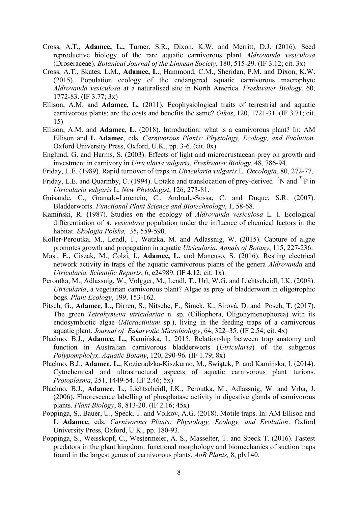- Cross, A.T., **Adamec, L.,** Turner, S.R., Dixon, K.W. and Merritt, D.J. (2016). Seed reproductive biology of the rare aquatic carnivorous plant *Aldrovanda vesiculosa* (Droseraceae). *Botanical Journal of the Linnean Society*, 180, 515-29. (IF 3.12; cit. 3x)
- Cross, A.T., Skates, L.M., **Adamec, L.**, Hammond, C.M., Sheridan, P.M. and Dixon, K.W. (2015). Population ecology of the endangered aquatic carnivorous macrophyte *Aldrovanda vesiculosa* at a naturalised site in North America. *Freshwater Biology*, 60, 1772-83. (IF 3.77; 3x)
- Ellison, A.M. and **Adamec, L.** (2011). Ecophysiological traits of terrestrial and aquatic carnivorous plants: are the costs and benefits the same? *Oikos*, 120, 1721-31. (IF 3.71; cit. 15)
- Ellison, A.M. and **Adamec, L.** (2018). Introduction: what is a carnivorous plant? In: AM Ellison and **L Adamec**, eds. *Carnivorous Plants: Physiology, Ecology, and Evolution*. Oxford University Press, Oxford, U.K., pp. 3-6. (cit. 0x)
- Englund, G. and Harms, S. (2003). Effects of light and microcrustacean prey on growth and investment in carnivory in *Utricularia vulgaris*. *Freshwater Biology*, 48, 786-94.
- Friday, L.E. (1989). Rapid turnover of traps in *Utricularia vulgaris* L. *Oecologia*, 80, 272-77.
- Friday, L.E. and Quarmby, C. (1994). Uptake and translocation of prey-derived  $^{15}N$  and  $^{32}P$  in *Utricularia vulgaris* L. *New Phytologist*, 126, 273-81.
- Guisande, C., Granado-Lorencio, C., Andrade-Sossa, C. and Duque, S.R. (2007). Bladderworts. *Functional Plant Science and Biotechnology*, 1, 58-68.
- Kamiński, R. **(**1987). Studies on the ecology of *Aldrovanda vesiculosa* L. I. Ecological differentiation of *A. vesiculosa* population under the influence of chemical factors in the habitat. *Ekologia Polska,* 35**,** 559-590.
- Koller-Peroutka, M., Lendl, T., Watzka, M. and Adlassnig, W. (2015). Capture of algae promotes growth and propagation in aquatic *Utricularia*. *Annals of Botany*, 115, 227-236.
- Masi, E., Ciszak, M., Colzi, I., **Adamec, L.** and Mancuso, S. (2016). Resting electrical network activity in traps of the aquatic carnivorous plants of the genera *Aldrovanda* and *Utricularia. Scientific Reports*, 6, e24989. (IF 4.12; cit. 1x)
- Peroutka, M., Adlassnig, W., Volgger, M., Lendl, T., Url, W.G. and Lichtscheidl, I.K. (2008). *Utricularia*, a vegetarian carnivorous plant? Algae as prey of bladderwort in oligotrophic bogs. *Plant Ecology*, 199, 153-162.
- Pitsch, G., **Adamec, L.,** Dirren, S., Nitsche, F., Šimek, K., Sirová, D. and Posch, T. (2017). The green *Tetrahymena utriculariae* n. sp. (Ciliophora, Oligohymenophorea) with its endosymbiotic algae (*Micractinium* sp.), living in the feeding traps of a carnivorous aquatic plant. *Journal of Eukaryotic Microbiology*, 64, 322–35. (IF 2.54; cit. 4x)
- Płachno, B.J., **Adamec, L.,** Kamińska, I., 2015. Relationship between trap anatomy and function in Australian carnivorous bladderworts (*Utricularia*) of the subgenus *Polypompholyx*. *Aquatic Botany*, 120, 290-96. (IF 1.79; 8x)
- Płachno, B.J., **Adamec, L.**, Kozieradzka-Kiszkurno, M., Świątek, P. and Kamińska, I. (2014). Cytochemical and ultrastructural aspects of aquatic carnivorous plant turions. *Protoplasma*, 251, 1449-54. (IF 2.46; 5x)
- Płachno, B.J., **Adamec, L.**, Lichtscheidl, I.K., Peroutka, M., Adlassnig, W. and Vrba, J. (2006). Fluorescence labelling of phosphatase activity in digestive glands of carnivorous plants. *Plant Biology*, 8, 813-20. (IF 2.16; 45x)
- Poppinga, S., Bauer, U., Speck, T. and Volkov, A.G. (2018). Motile traps. In: AM Ellison and **L Adamec**, eds. *Carnivorous Plants: Physiology, Ecology, and Evolution*. Oxford University Press, Oxford, U.K., pp. 180-93.
- Poppinga, S., Weisskopf, C., Westermeier, A. S., Masselter, T. and Speck T. (2016). Fastest predators in the plant kingdom: functional morphology and biomechanics of suction traps found in the largest genus of carnivorous plants. *AoB Plants,* 8, plv140.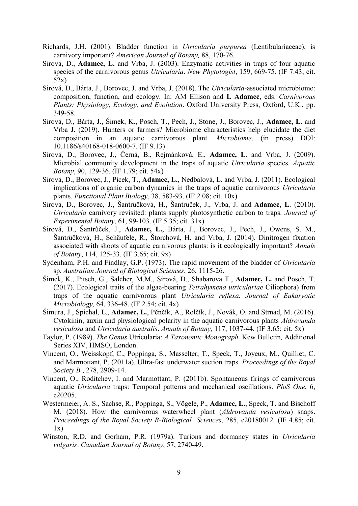- Richards, J.H. (2001). Bladder function in *Utricularia purpurea* (Lentibulariaceae), is carnivory important? *American Journal of Botany,* 88, 170-76.
- Sirová, D., **Adamec, L.** and Vrba, J. (2003). Enzymatic activities in traps of four aquatic species of the carnivorous genus *Utricularia*. *New Phytologist*, 159, 669-75. (IF 7.43; cit. 52x)
- Sirová, D., Bárta, J., Borovec, J. and Vrba, J. (2018). The *Utricularia*-associated microbiome: composition, function, and ecology. In: AM Ellison and **L Adamec**, eds. *Carnivorous Plants: Physiology, Ecology, and Evolution*. Oxford University Press, Oxford, U.K., pp. 349-58.
- Sirová, D., Bárta, J., Šimek, K., Posch, T., Pech, J., Stone, J., Borovec, J., **Adamec, L**. and Vrba J. (2019). Hunters or farmers? Microbiome characteristics help elucidate the diet composition in an aquatic carnivorous plant. *Microbiome*, (in press) DOI: 10.1186/s40168-018-0600-7. (IF 9.13)
- Sirová, D., Borovec, J., Černá, B., Rejmánková, E., **Adamec, L**. and Vrba, J. (2009). Microbial community development in the traps of aquatic *Utricularia* species. *Aquatic Botany*, 90, 129-36. (IF 1.79; cit. 54x)
- Sirová, D., Borovec, J., Picek, T., **Adamec, L.**, Nedbalová, L. and Vrba, J. (2011). Ecological implications of organic carbon dynamics in the traps of aquatic carnivorous *Utricularia*  plants. *Functional Plant Biology*, 38, 583-93. (IF 2.08; cit. 10x)
- Sirová, D., Borovec, J., Šantrůčková, H., Šantrůček, J., Vrba, J. and **Adamec, L**. (2010). *Utricularia* carnivory revisited: plants supply photosynthetic carbon to traps. *Journal of Experimental Botany*, 61, 99-103. (IF 5.35; cit. 31x)
- Sirová, D., Šantrůček, J., **Adamec, L.**, Bárta, J., Borovec, J., Pech, J., Owens, S. M., Šantrůčková, H., Schäufele, R., Štorchová, H. and Vrba, J. (2014). Dinitrogen fixation associated with shoots of aquatic carnivorous plants: is it ecologically important? *Annals of Botany*, 114, 125-33. (IF 3.65; cit. 9x)
- Sydenham, P.H. and Findlay, G.P. (1973). The rapid movement of the bladder of *Utricularia*  sp. *Australian Journal of Biological Sciences*, 26, 1115-26.
- Šimek, K., Pitsch, G., Salcher, M.M., Sirová, D., Shabarova T., **Adamec, L.** and Posch, T. (2017). Ecological traits of the algae-bearing *Tetrahymena utriculariae* Ciliophora) from traps of the aquatic carnivorous plant *Utricularia reflexa. Journal of Eukaryotic Microbiology,* 64, 336-48. (IF 2.54; cit. 4x)
- Šimura, J., Spíchal, L., **Adamec, L.**, Pěnčík, A., Rolčík, J., Novák, O. and Strnad, M. (2016). Cytokinin, auxin and physiological polarity in the aquatic carnivorous plants *Aldrovanda vesiculosa* and *Utricularia australis*. *Annals of Botany,* 117, 1037-44. (IF 3.65; cit. 5x)
- Taylor, P. (1989). *The Genus* Utricularia: *A Taxonomic Monograph.* Kew Bulletin*,* Additional Series XIV, HMSO, London.
- Vincent, O., Weisskopf, C., Poppinga, S., Masselter, T., Speck, T., Joyeux, M., Quilliet, C. and Marmottant, P. (2011a). Ultra-fast underwater suction traps. *Proceedings of the Royal Society B.*, 278, 2909-14.
- Vincent, O., Roditchev, I. and Marmottant, P. (2011b). Spontaneous firings of carnivorous aquatic *Utricularia* traps: Temporal patterns and mechanical oscillations. *PloS One*, 6, e20205.
- Westermeier, A. S., Sachse, R., Poppinga, S., Vögele, P., **Adamec, L.**, Speck, T. and Bischoff M. (2018). How the carnivorous waterwheel plant (*Aldrovanda vesiculosa*) snaps. *Proceedings of the Royal Society B-Biological Sciences*, 285, e20180012. (IF 4.85; cit.  $1x)$
- Winston, R.D. and Gorham, P.R. (1979a). Turions and dormancy states in *Utricularia vulgaris*. *Canadian Journal of Botany*, 57, 2740-49.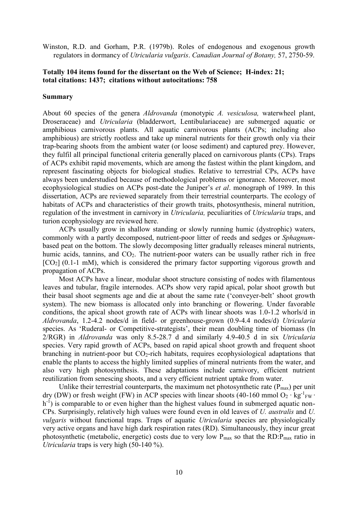Winston, R.D. and Gorham, P.R. (1979b). Roles of endogenous and exogenous growth regulators in dormancy of *Utricularia vulgaris*. *Canadian Journal of Botany,* 57, 2750-59.

# **Totally 104 items found for the dissertant on the Web of Science; H-index: 21; total citations: 1437; citations without autocitations: 758**

### **Summary**

About 60 species of the genera *Aldrovanda* (monotypic *A. vesiculosa,* waterwheel plant, Droseraceae) and *Utricularia* (bladderwort, Lentibulariaceae) are submerged aquatic or amphibious carnivorous plants. All aquatic carnivorous plants (ACPs; including also amphibious) are strictly rootless and take up mineral nutrients for their growth only via their trap-bearing shoots from the ambient water (or loose sediment) and captured prey. However, they fulfil all principal functional criteria generally placed on carnivorous plants (CPs). Traps of ACPs exhibit rapid movements, which are among the fastest within the plant kingdom, and represent fascinating objects for biological studies. Relative to terrestrial CPs, ACPs have always been understudied because of methodological problems or ignorance. Moreover, most ecophysiological studies on ACPs post-date the Juniper's *et al*. monograph of 1989. In this dissertation, ACPs are reviewed separately from their terrestrial counterparts. The ecology of habitats of ACPs and characteristics of their growth traits, photosynthesis, mineral nutrition, regulation of the investment in carnivory in *Utricularia,* peculiarities of *Utricularia* traps, and turion ecophysiology are reviewed here.

ACPs usually grow in shallow standing or slowly running humic (dystrophic) waters, commonly with a partly decomposed, nutrient-poor litter of reeds and sedges or *Sphagnum*based peat on the bottom. The slowly decomposing litter gradually releases mineral nutrients, humic acids, tannins, and CO<sub>2</sub>. The nutrient-poor waters can be usually rather rich in free  $[CO<sub>2</sub>]$  (0.1-1 mM), which is considered the primary factor supporting vigorous growth and propagation of ACPs.

Most ACPs have a linear, modular shoot structure consisting of nodes with filamentous leaves and tubular, fragile internodes. ACPs show very rapid apical, polar shoot growth but their basal shoot segments age and die at about the same rate ('conveyer-belt' shoot growth system). The new biomass is allocated only into branching or flowering. Under favorable conditions, the apical shoot growth rate of ACPs with linear shoots was 1.0-1.2 whorls/d in *Aldrovanda*, 1.2-4.2 nodes/d in field- or greenhouse-grown (0.9-4.4 nodes/d) *Utricularia*  species. As 'Ruderal- or Competitive-strategists', their mean doubling time of biomass (ln 2/RGR) in *Aldrovanda* was only 8.5-28.7 d and similarly 4.9-40.5 d in six *Utricularia*  species. Very rapid growth of ACPs, based on rapid apical shoot growth and frequent shoot branching in nutrient-poor but  $CO<sub>2</sub>$ -rich habitats, requires ecophysiological adaptations that enable the plants to access the highly limited supplies of mineral nutrients from the water, and also very high photosynthesis. These adaptations include carnivory, efficient nutrient reutilization from senescing shoots, and a very efficient nutrient uptake from water.

Unlike their terrestrial counterparts, the maximum net photosynthetic rate  $(P_{max})$  per unit dry (DW) or fresh weight (FW) in ACP species with linear shoots (40-160 mmol O<sub>2</sub> ⋅ kg<sup>-1</sup><sub>FW</sub> ⋅ h<sup>-1</sup>) is comparable to or even higher than the highest values found in submerged aquatic non-CPs. Surprisingly, relatively high values were found even in old leaves of *U. australis* and *U. vulgaris* without functional traps. Traps of aquatic *Utricularia* species are physiologically very active organs and have high dark respiration rates (RD). Simultaneously, they incur great photosynthetic (metabolic, energetic) costs due to very low P<sub>max</sub> so that the RD:P<sub>max</sub> ratio in *Utricularia* traps is very high (50-140 %).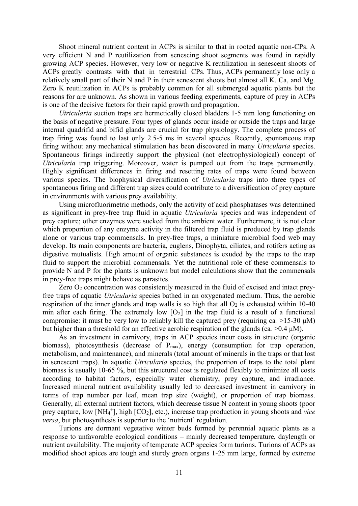Shoot mineral nutrient content in ACPs is similar to that in rooted aquatic non-CPs. A very efficient N and P reutilization from senescing shoot segments was found in rapidly growing ACP species. However, very low or negative K reutilization in senescent shoots of ACPs greatly contrasts with that in terrestrial CPs. Thus, ACPs permanently lose only a relatively small part of their N and P in their senescent shoots but almost all K, Ca, and Mg. Zero K reutilization in ACPs is probably common for all submerged aquatic plants but the reasons for are unknown. As shown in various feeding experiments, capture of prey in ACPs is one of the decisive factors for their rapid growth and propagation.

*Utricularia* suction traps are hermetically closed bladders 1-5 mm long functioning on the basis of negative pressure. Four types of glands occur inside or outside the traps and large internal quadrifid and bifid glands are crucial for trap physiology. The complete process of trap firing was found to last only 2.5-5 ms in several species. Recently, spontaneous trap firing without any mechanical stimulation has been discovered in many *Utricularia* species. Spontaneous firings indirectly support the physical (not electrophysiological) concept of *Utricularia* trap triggering. Moreover, water is pumped out from the traps permanently. Highly significant differences in firing and resetting rates of traps were found between various species. The biophysical diversification of *Utricularia* traps into three types of spontaneous firing and different trap sizes could contribute to a diversification of prey capture in environments with various prey availability.

Using microfluorimetric methods, only the activity of acid phosphatases was determined as significant in prey-free trap fluid in aquatic *Utricularia* species and was independent of prey capture; other enzymes were sucked from the ambient water. Furthermore, it is not clear which proportion of any enzyme activity in the filtered trap fluid is produced by trap glands alone or various trap commensals. In prey-free traps, a miniature microbial food web may develop. Its main components are bacteria, euglens, Dinophyta, ciliates, and rotifers acting as digestive mutualists. High amount of organic substances is exuded by the traps to the trap fluid to support the microbial commensals. Yet the nutritional role of these commensals to provide N and P for the plants is unknown but model calculations show that the commensals in prey-free traps might behave as parasites.

Zero  $O_2$  concentration was consistently measured in the fluid of excised and intact preyfree traps of aquatic *Utricularia* species bathed in an oxygenated medium. Thus, the aerobic respiration of the inner glands and trap walls is so high that all  $O<sub>2</sub>$  is exhausted within 10-40 min after each firing. The extremely low  $[O_2]$  in the trap fluid is a result of a functional compromise: it must be very low to reliably kill the captured prey (requiring ca*.* >15-30 μM) but higher than a threshold for an effective aerobic respiration of the glands (ca*.* >0.4 μM).

As an investment in carnivory, traps in ACP species incur costs in structure (organic biomass), photosynthesis (decrease of  $P_{\text{max}}$ ), energy (consumption for trap operation, metabolism, and maintenance), and minerals (total amount of minerals in the traps or that lost in senescent traps). In aquatic *Utricularia* species, the proportion of traps to the total plant biomass is usually 10-65 %, but this structural cost is regulated flexibly to minimize all costs according to habitat factors, especially water chemistry, prey capture, and irradiance. Increased mineral nutrient availability usually led to decreased investment in carnivory in terms of trap number per leaf, mean trap size (weight), or proportion of trap biomass. Generally, all external nutrient factors, which decrease tissue N content in young shoots (poor prey capture, low [NH<sub>4</sub><sup>+</sup>], high [CO<sub>2</sub>], etc.), increase trap production in young shoots and *vice versa*, but photosynthesis is superior to the 'nutrient' regulation.

Turions are dormant vegetative winter buds formed by perennial aquatic plants as a response to unfavorable ecological conditions – mainly decreased temperature, daylength or nutrient availability. The majority of temperate ACP species form turions. Turions of ACPs as modified shoot apices are tough and sturdy green organs 1-25 mm large, formed by extreme